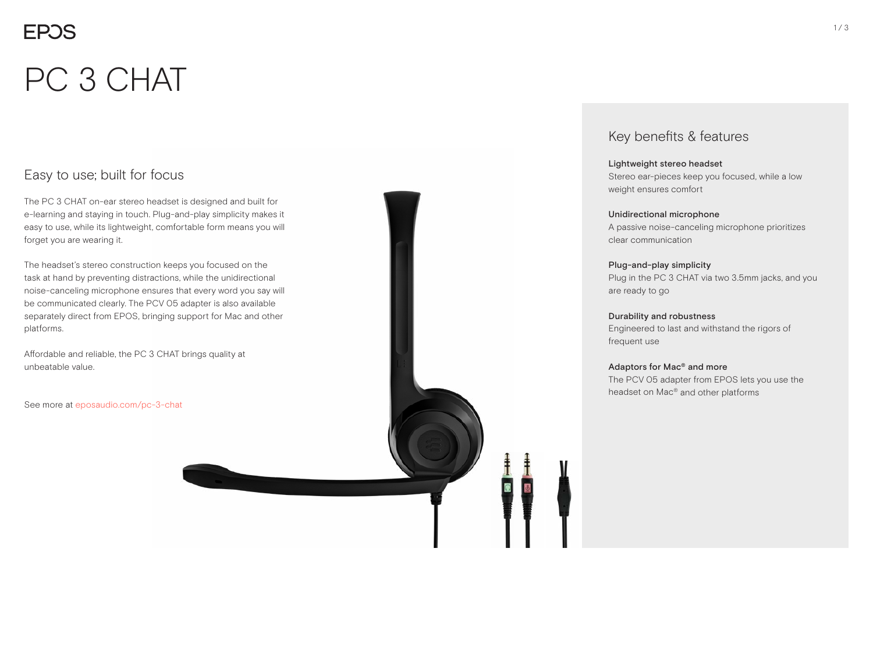## **EPOS**

# PC 3 CHAT

## Easy to use; built for focus

The PC 3 CHAT on-ear stereo headset is designed and built for e-learning and staying in touch. Plug-and-play simplicity makes it easy to use, while its lightweight, comfortable form means you will forget you are wearing it.

The headset's stereo construction keeps you focused on the task at hand by preventing distractions, while the unidirectional noise-canceling microphone ensures that every word you say will be communicated clearly. The PCV 05 adapter is also available separately direct from EPOS, bringing support for Mac and other platforms.

Affordable and reliable, the PC 3 CHAT brings quality at unbeatable value.

See more at eposaudio.com/pc-3-chat

### Key benefits & features

#### Lightweight stereo headset

Stereo ear-pieces keep you focused, while a low weight ensures comfort

#### Unidirectional microphone

A passive noise-canceling microphone prioritizes clear communication

#### Plug-and-play simplicity

Plug in the PC 3 CHAT via two 3.5mm jacks, and you are ready to go

#### Durability and robustness

Engineered to last and withstand the rigors of frequent use

#### Adaptors for Mac® and more

The PCV 05 adapter from EPOS lets you use the headset on Mac® and other platforms

 $1/3$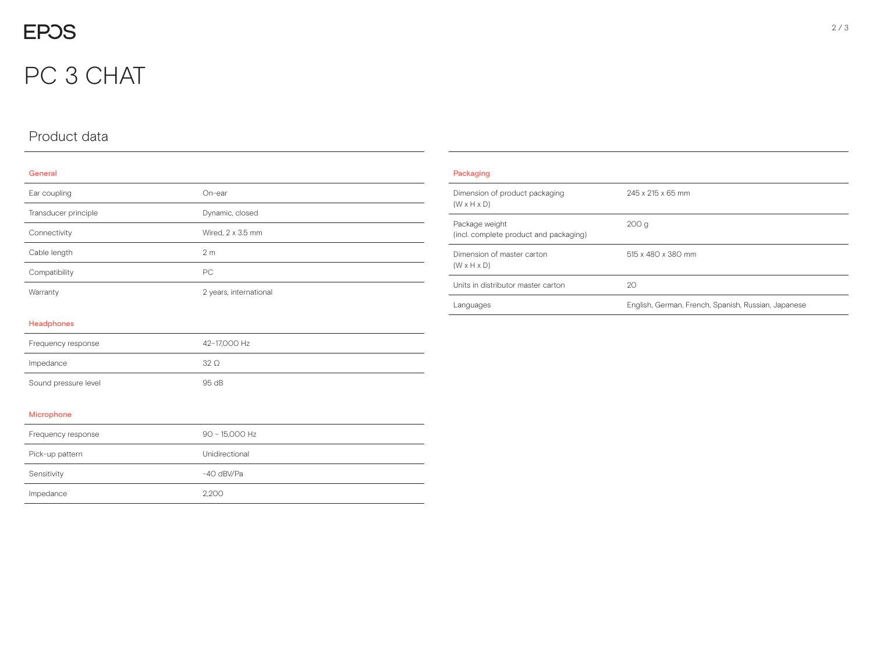## PC 3 CHAT

## Product data

#### General

| Ear coupling         | $On-ear$               |
|----------------------|------------------------|
| Transducer principle | Dynamic, closed        |
| Connectivity         | Wired, 2 x 3.5 mm      |
| Cable length         | 2 <sub>m</sub>         |
| Compatibility        | PC                     |
| Warranty             | 2 years, international |
|                      |                        |

#### Headphones

| Frequency response   | 42-17.000 Hz |
|----------------------|--------------|
| Impedance            | 32O          |
| Sound pressure level | 95 dB        |

#### Microphone

| Frequency response | 90 - 15,000 Hz |
|--------------------|----------------|
| Pick-up pattern    | Unidirectional |
| Sensitivity        | $-40$ dBV/Pa   |
| Impedance          | 2.200          |

| Packaging                                                 |                                                     |
|-----------------------------------------------------------|-----------------------------------------------------|
| Dimension of product packaging<br>$(W \times H \times D)$ | 245 x 215 x 65 mm                                   |
| Package weight<br>(incl. complete product and packaging)  | 200 <sub>g</sub>                                    |
| Dimension of master carton<br>$(W \times H \times D)$     | 515 x 480 x 380 mm                                  |
| Units in distributor master carton                        | 20                                                  |
| Languages                                                 | English, German, French, Spanish, Russian, Japanese |